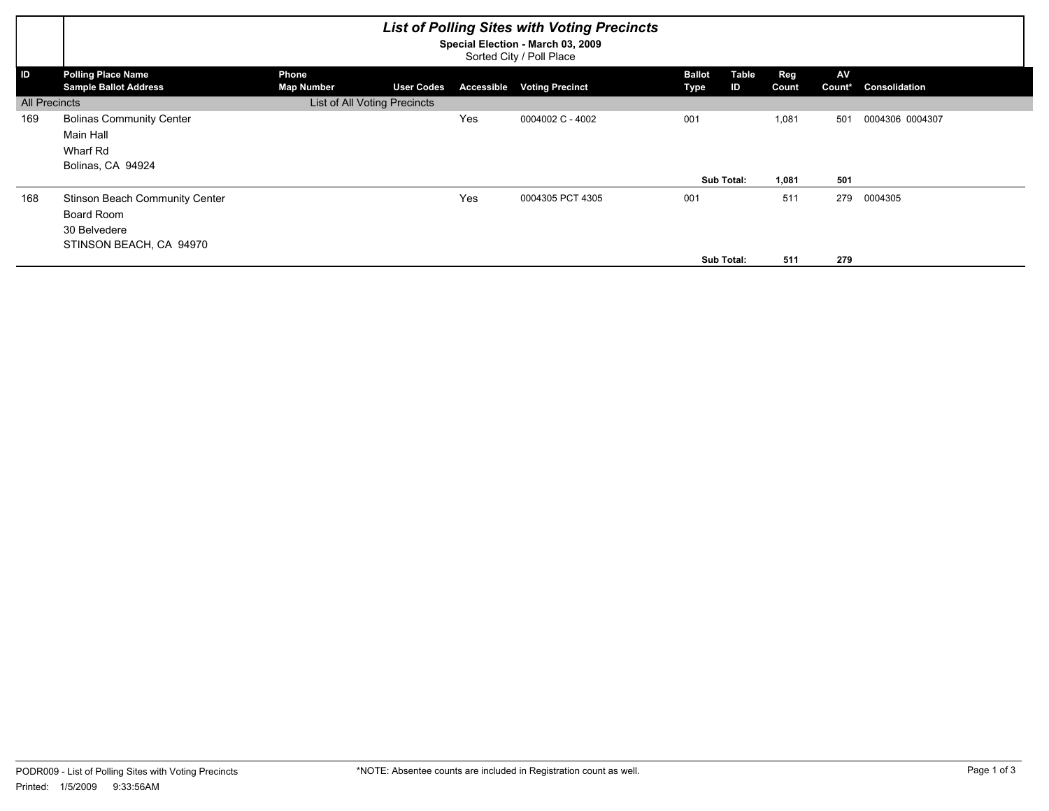|                      | <b>List of Polling Sites with Voting Precincts</b><br>Special Election - March 03, 2009<br>Sorted City / Poll Place |                            |                              |            |                        |                       |             |                     |                     |                 |
|----------------------|---------------------------------------------------------------------------------------------------------------------|----------------------------|------------------------------|------------|------------------------|-----------------------|-------------|---------------------|---------------------|-----------------|
| ID                   | <b>Polling Place Name</b><br><b>Sample Ballot Address</b>                                                           | Phone<br><b>Map Number</b> | <b>User Codes</b>            | Accessible | <b>Voting Precinct</b> | <b>Ballot</b><br>Type | Table<br>ID | <b>Reg</b><br>Count | <b>AV</b><br>Count* | Consolidation   |
| <b>All Precincts</b> |                                                                                                                     |                            | List of All Voting Precincts |            |                        |                       |             |                     |                     |                 |
| 169                  | <b>Bolinas Community Center</b><br>Main Hall<br>Wharf Rd<br>Bolinas, CA 94924                                       |                            |                              | Yes        | 0004002 C - 4002       | 001                   |             | 1,081               | 501                 | 0004306 0004307 |
|                      |                                                                                                                     |                            |                              |            |                        |                       | Sub Total:  | 1,081               | 501                 |                 |
| 168                  | <b>Stinson Beach Community Center</b><br>Board Room<br>30 Belvedere<br>STINSON BEACH, CA 94970                      |                            |                              | Yes        | 0004305 PCT 4305       | 001                   |             | 511                 | 279                 | 0004305         |
|                      |                                                                                                                     |                            |                              |            |                        |                       | Sub Total:  | 511                 | 279                 |                 |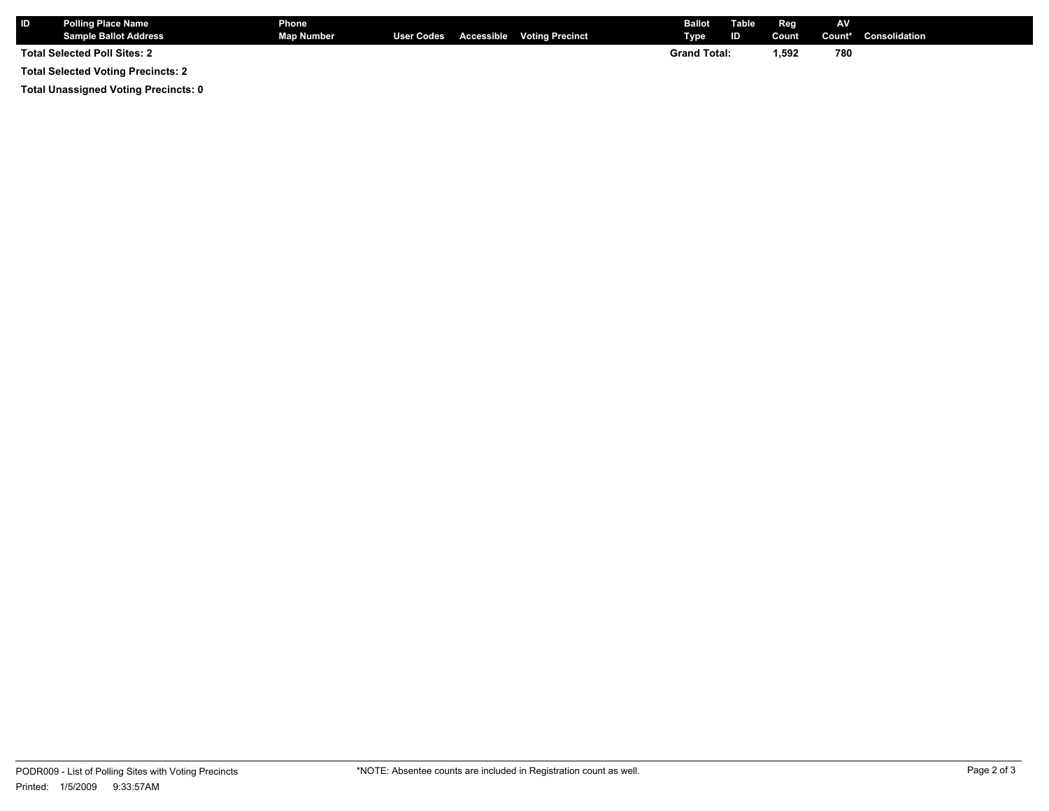| <b>ID</b> | <b>Polling Place Name</b><br><b>Sample Ballot Address</b> | <b>Phone</b><br><b>Map Number</b> |  | User Codes Accessible Voting Precinct | Ballot<br><b>Type</b> | <b>Table</b><br>ID | Reg<br>Count | AV.<br>Count* | <b>Consolidation</b> |
|-----------|-----------------------------------------------------------|-----------------------------------|--|---------------------------------------|-----------------------|--------------------|--------------|---------------|----------------------|
|           | <b>Total Selected Poll Sites: 2</b>                       |                                   |  |                                       | <b>Grand Total:</b>   |                    | 1,592        | 780           |                      |

**Total Selected Voting Precincts: 2**

**Total Unassigned Voting Precincts: 0**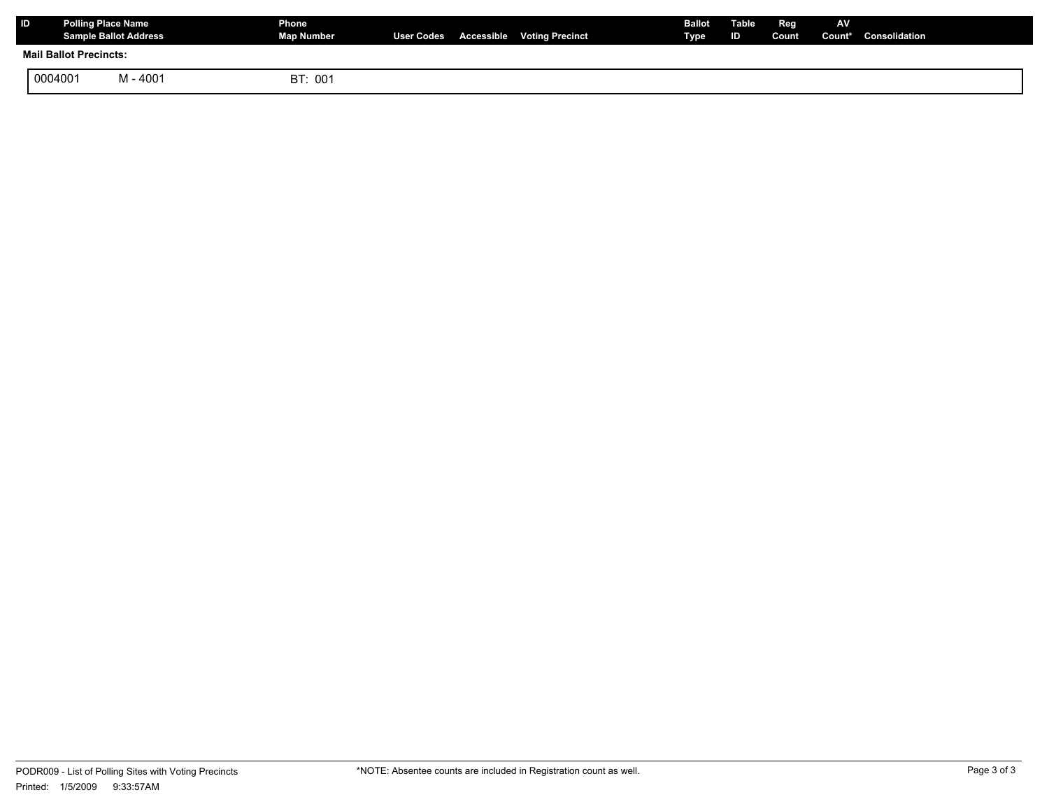| ID                            | <b>Polling Place Name</b><br><b>Sample Ballot Address</b> |          | Phone<br>Map Number |  | User Codes Accessible Voting Precinct | <b>Ballot</b><br>Type | Table<br>ID | Reg | AV | Count Count* Consolidation |
|-------------------------------|-----------------------------------------------------------|----------|---------------------|--|---------------------------------------|-----------------------|-------------|-----|----|----------------------------|
| <b>Mail Ballot Precincts:</b> |                                                           |          |                     |  |                                       |                       |             |     |    |                            |
|                               | 0004001                                                   | M - 4001 | BT: 001             |  |                                       |                       |             |     |    |                            |